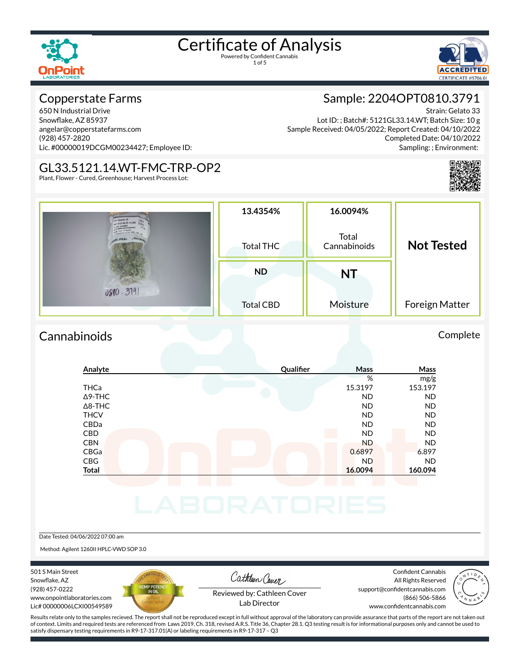1 of 5



#### Copperstate Farms

650 N Industrial Drive Snowflake, AZ 85937 angelar@copperstatefarms.com (928) 457-2820 Lic. #00000019DCGM00234427; Employee ID:

#### GL33.5121.14.WT-FMC-TRP-OP2

Plant, Flower - Cured, Greenhouse; Harvest Process Lot:

### Sample: 2204OPT0810.3791

Strain: Gelato 33 Lot ID: ; Batch#: 5121GL33.14.WT; Batch Size: 10 g Sample Received: 04/05/2022; Report Created: 04/10/2022 Completed Date: 04/10/2022 Sampling: ; Environment:



| Gelate 33<br>ax 51210133.14.WT<br>$-4/5/202$         | 13.4354%<br>16.0094%                      |           |                   |  |
|------------------------------------------------------|-------------------------------------------|-----------|-------------------|--|
| MARIA 121.54 WT-FFM - Tax<br><b>PAK</b> <sub>R</sub> | Total<br>Cannabinoids<br><b>Total THC</b> |           | <b>Not Tested</b> |  |
|                                                      | <b>ND</b>                                 | <b>NT</b> |                   |  |
| 0810.3191                                            | <b>Total CBD</b>                          | Moisture  | Foreign Matter    |  |

#### Cannabinoids Complete

#### **Analyte Qualier Mass Mass** % mg/g THCa 15.3197 153.197 Δ9-THC ND ND Δ8-THC ND ND THCV ND ND CBDa ND ND CBD A RESIDENCE OF A RESIDENCE OF A RESIDENCE OF A RESIDENCE OF A RESIDENCE OF A RESIDENCE OF A RESIDENCE OF A CBN ND ND CBGa 0.6897 6.897 CBG ND ND **Total 16.0094 160.094**

Date Tested: 04/06/2022 07:00 am

Method: Agilent 1260II HPLC-VWD SOP 3.0

501 S Main Street Snowflake, AZ (928) 457-0222 www.onpointlaboratories.com Lic# 00000006LCXI00549589



Cathleen Cover

Confident Cannabis All Rights Reserved support@confidentcannabis.com (866) 506-5866



Reviewed by: Cathleen Cover Lab Director

www.confidentcannabis.com

Results relate only to the samples recieved. The report shall not be reproduced except in full without approval of the laboratory can provide assurance that parts of the report are not taken out of context. Limits and required tests are referenced from Laws 2019, Ch. 318, revised A.R.S. Title 36, Chapter 28.1. Q3 testing result is for informational purposes only and cannot be used to satisfy dispensary testing requirements in R9-17-317.01(A) or labeling requirements in R9-17-317 – Q3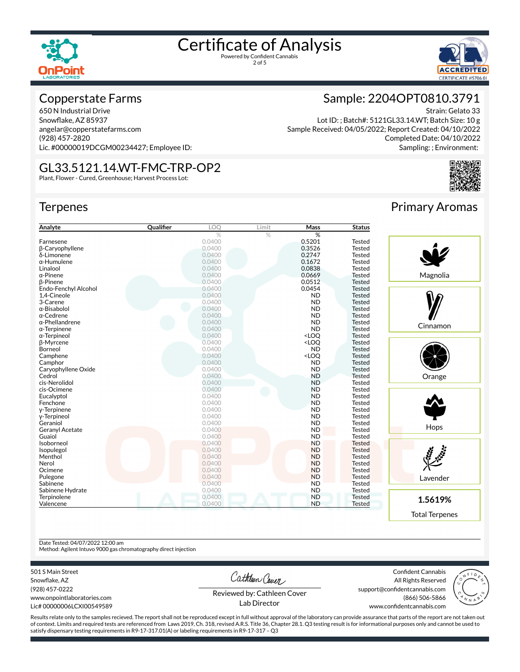



Strain: Gelato 33

#### Copperstate Farms

650 N Industrial Drive Snowflake, AZ 85937 angelar@copperstatefarms.com (928) 457-2820 Lic. #00000019DCGM00234427; Employee ID:

#### GL33.5121.14.WT-FMC-TRP-OP2

Plant, Flower - Cured, Greenhouse; Harvest Process Lot:

#### **Terpenes**

| Analyte                | Qualifier | LOO    | Limit | Mass                                      | <b>Status</b> |
|------------------------|-----------|--------|-------|-------------------------------------------|---------------|
|                        |           | %      | $\%$  | %                                         |               |
| Farnesene              |           | 0.0400 |       | 0.5201                                    | <b>Tested</b> |
| <b>B-Caryophyllene</b> |           | 0.0400 |       | 0.3526                                    | <b>Tested</b> |
| δ-Limonene             |           | 0.0400 |       | 0.2747                                    | Tested        |
| α-Humulene             |           | 0.0400 |       | 0.1672                                    | <b>Tested</b> |
| Linalool               |           | 0.0400 |       | 0.0838                                    | <b>Tested</b> |
| α-Pinene               |           | 0.0400 |       | 0.0669                                    | <b>Tested</b> |
| <b>B-Pinene</b>        |           | 0.0400 |       | 0.0512                                    | <b>Tested</b> |
| Endo-Fenchyl Alcohol   |           | 0.0400 |       | 0.0454                                    | <b>Tested</b> |
| 1,4-Cineole            |           | 0.0400 |       | <b>ND</b>                                 | <b>Tested</b> |
| 3-Carene               |           | 0.0400 |       | <b>ND</b>                                 | <b>Tested</b> |
| α-Bisabolol            |           | 0.0400 |       | <b>ND</b>                                 | <b>Tested</b> |
| α-Cedrene              |           | 0.0400 |       | <b>ND</b>                                 | <b>Tested</b> |
| α-Phellandrene         |           | 0.0400 |       | <b>ND</b>                                 | <b>Tested</b> |
| α-Terpinene            |           | 0.0400 |       | <b>ND</b>                                 | <b>Tested</b> |
| α-Terpineol            |           | 0.0400 |       | <loq< td=""><td><b>Tested</b></td></loq<> | <b>Tested</b> |
| <b>B-Myrcene</b>       |           | 0.0400 |       | <loq< td=""><td><b>Tested</b></td></loq<> | <b>Tested</b> |
| Borneol                |           | 0.0400 |       | <b>ND</b>                                 | <b>Tested</b> |
| Camphene               |           | 0.0400 |       | <loq< td=""><td><b>Tested</b></td></loq<> | <b>Tested</b> |
| Camphor                |           | 0.0400 |       | <b>ND</b>                                 | <b>Tested</b> |
| Caryophyllene Oxide    |           | 0.0400 |       | ND.                                       | <b>Tested</b> |
| Cedrol                 |           | 0.0400 |       | <b>ND</b>                                 | Tested        |
| cis-Nerolidol          |           | 0.0400 |       | <b>ND</b>                                 | Tested        |
| cis-Ocimene            |           | 0.0400 |       | <b>ND</b>                                 | <b>Tested</b> |
| Eucalyptol             |           | 0.0400 |       | <b>ND</b>                                 | <b>Tested</b> |
| Fenchone               |           | 0.0400 |       | <b>ND</b>                                 | <b>Tested</b> |
| y-Terpinene            |           | 0.0400 |       | <b>ND</b>                                 | <b>Tested</b> |
| y-Terpineol            |           | 0.0400 |       | <b>ND</b>                                 | <b>Tested</b> |
| Geraniol               |           | 0.0400 |       | <b>ND</b>                                 | <b>Tested</b> |
| Geranyl Acetate        |           | 0.0400 |       | <b>ND</b>                                 | <b>Tested</b> |
| Guaiol                 |           | 0.0400 |       | <b>ND</b>                                 | <b>Tested</b> |
| Isoborneol             |           | 0.0400 |       | <b>ND</b>                                 | <b>Tested</b> |
| Isopulegol             |           | 0.0400 |       | <b>ND</b>                                 | <b>Tested</b> |
| Menthol                |           | 0.0400 |       | <b>ND</b>                                 | <b>Tested</b> |
| Nerol                  |           | 0.0400 |       | <b>ND</b>                                 | <b>Tested</b> |
| Ocimene                |           | 0.0400 |       | <b>ND</b>                                 | <b>Tested</b> |
| Pulegone               |           | 0.0400 |       | <b>ND</b>                                 | <b>Tested</b> |
| Sabinene               |           | 0.0400 |       | <b>ND</b>                                 | <b>Tested</b> |
| Sabinene Hydrate       |           | 0.0400 |       | <b>ND</b>                                 | <b>Tested</b> |
| Terpinolene            |           | 0.0400 |       | <b>ND</b>                                 | <b>Tested</b> |
| Valencene              |           | 0.0400 |       | <b>ND</b>                                 | Tested        |

## Primary Aromas

Completed Date: 04/10/2022 Sampling: ; Environment:

Sample: 2204OPT0810.3791

Lot ID: ; Batch#: 5121GL33.14.WT; Batch Size: 10 g

Sample Received: 04/05/2022; Report Created: 04/10/2022



Total Terpenes

Date Tested: 04/07/2022 12:00 am

Method: Agilent Intuvo 9000 gas chromatography direct injection

501 S Main Street

Snowflake, AZ (928) 457-0222 www.onpointlaboratories.com Lic# 00000006LCXI00549589 Cathleen Cover

Confident Cannabis All Rights Reserved support@confidentcannabis.com (866) 506-5866



Reviewed by: Cathleen Cover Lab Director

www.confidentcannabis.com

Results relate only to the samples recieved. The report shall not be reproduced except in full without approval of the laboratory can provide assurance that parts of the report are not taken out of context. Limits and required tests are referenced from Laws 2019, Ch. 318, revised A.R.S. Title 36, Chapter 28.1. Q3 testing result is for informational purposes only and cannot be used to satisfy dispensary testing requirements in R9-17-317.01(A) or labeling requirements in R9-17-317 – Q3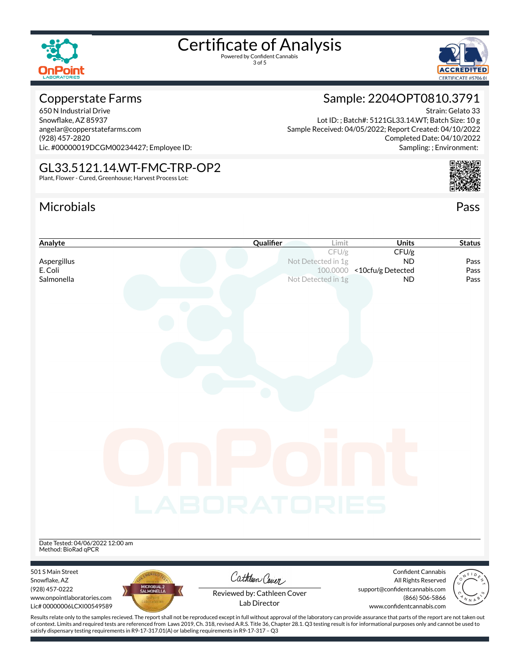

3 of 5



Sample: 2204OPT0810.3791

Lot ID: ; Batch#: 5121GL33.14.WT; Batch Size: 10 g

Sample Received: 04/05/2022; Report Created: 04/10/2022

#### Copperstate Farms

650 N Industrial Drive Snowflake, AZ 85937 angelar@copperstatefarms.com (928) 457-2820 Lic. #00000019DCGM00234427; Employee ID:

#### GL33.5121.14.WT-FMC-TRP-OP2

Plant, Flower - Cured, Greenhouse; Harvest Process Lot:

### Microbials Pass



Strain: Gelato 33

Completed Date: 04/10/2022



of context. Limits and required tests are referenced from Laws 2019, Ch. 318, revised A.R.S. Title 36, Chapter 28.1. Q3 testing result is for informational purposes only and cannot be used to satisfy dispensary testing requirements in R9-17-317.01(A) or labeling requirements in R9-17-317 – Q3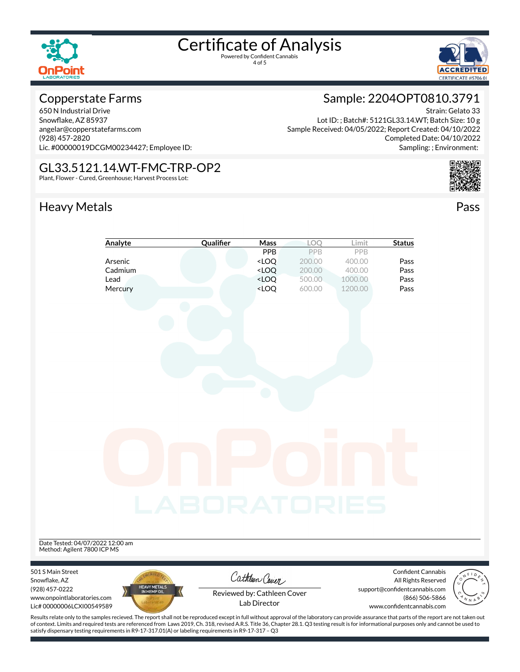



#### Copperstate Farms

650 N Industrial Drive Snowflake, AZ 85937 angelar@copperstatefarms.com (928) 457-2820 Lic. #00000019DCGM00234427; Employee ID:

#### GL33.5121.14.WT-FMC-TRP-OP2

Plant, Flower - Cured, Greenhouse; Harvest Process Lot:

### Heavy Metals **Pass**

### Sample: 2204OPT0810.3791

Strain: Gelato 33 Lot ID: ; Batch#: 5121GL33.14.WT; Batch Size: 10 g Sample Received: 04/05/2022; Report Created: 04/10/2022 Completed Date: 04/10/2022 Sampling: ; Environment:



| Analyte                                                                              | Qualifier                   | Mass                                                                                                           | LOQ              | Limit                     | <b>Status</b>                                   |                                   |
|--------------------------------------------------------------------------------------|-----------------------------|----------------------------------------------------------------------------------------------------------------|------------------|---------------------------|-------------------------------------------------|-----------------------------------|
|                                                                                      |                             | PPB                                                                                                            | PPB              | PPB                       |                                                 |                                   |
| Arsenic                                                                              |                             | <loq< td=""><td>200.00</td><td>400.00</td><td>Pass</td><td></td></loq<>                                        | 200.00           | 400.00                    | Pass                                            |                                   |
| Cadmium                                                                              |                             | $<$ LOQ                                                                                                        | 200.00<br>500.00 | 400.00                    | Pass                                            |                                   |
| Lead<br>Mercury                                                                      |                             | <loq<br><loq< td=""><td>600.00</td><td>1000.00<br/>1200.00</td><td>Pass<br/>Pass</td><td></td></loq<></loq<br> | 600.00           | 1000.00<br>1200.00        | Pass<br>Pass                                    |                                   |
|                                                                                      |                             |                                                                                                                |                  |                           |                                                 |                                   |
|                                                                                      |                             |                                                                                                                |                  |                           |                                                 |                                   |
|                                                                                      | <b>_ABORATORIES</b>         |                                                                                                                |                  |                           |                                                 |                                   |
| Date Tested: 04/07/2022 12:00 am<br>Method: Agilent 7800 ICP MS<br>501 S Main Street |                             |                                                                                                                |                  |                           | Confident Cannabis                              | $A$ $F$ <sup><math>D</math></sup> |
| Snowflake, AZ                                                                        |                             | Cathleen Cover                                                                                                 |                  |                           | All Rights Reserved                             |                                   |
| (928) 457-0222<br>www.onpointlaboratories.com<br>Lic# 00000006LCXI00549589           | HEAVY METALS<br>IN HEMP OIL | Reviewed by: Cathleen Cover<br>Lab Director                                                                    |                  | www.confidentcannabis.com | support@confidentcannabis.com<br>(866) 506-5866 |                                   |

Results relate only to the samples recieved. The report shall not be reproduced except in full without approval of the laboratory can provide assurance that parts of the report are not taken out of context. Limits and required tests are referenced from Laws 2019, Ch. 318, revised A.R.S. Title 36, Chapter 28.1. Q3 testing result is for informational purposes only and cannot be used to satisfy dispensary testing requirements in R9-17-317.01(A) or labeling requirements in R9-17-317 – Q3